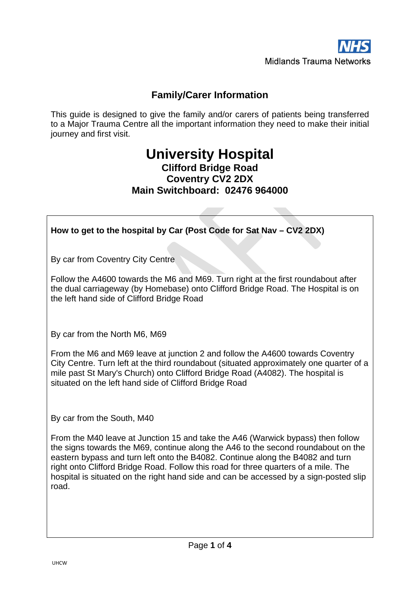

# **Family/Carer Information**

This guide is designed to give the family and/or carers of patients being transferred to a Major Trauma Centre all the important information they need to make their initial journey and first visit.

# **University Hospital Clifford Bridge Road Coventry CV2 2DX Main Switchboard: 02476 964000**

**How to get to the hospital by Car (Post Code for Sat Nav – CV2 2DX)**

By car from Coventry City Centre

Follow the A4600 towards the M6 and M69. Turn right at the first roundabout after the dual carriageway (by Homebase) onto Clifford Bridge Road. The Hospital is on the left hand side of Clifford Bridge Road

By car from the North M6, M69

From the M6 and M69 leave at junction 2 and follow the A4600 towards Coventry City Centre. Turn left at the third roundabout (situated approximately one quarter of a mile past St Mary's Church) onto Clifford Bridge Road (A4082). The hospital is situated on the left hand side of Clifford Bridge Road

By car from the South, M40

From the M40 leave at Junction 15 and take the A46 (Warwick bypass) then follow the signs towards the M69, continue along the A46 to the second roundabout on the eastern bypass and turn left onto the B4082. Continue along the B4082 and turn right onto Clifford Bridge Road. Follow this road for three quarters of a mile. The hospital is situated on the right hand side and can be accessed by a sign-posted slip road.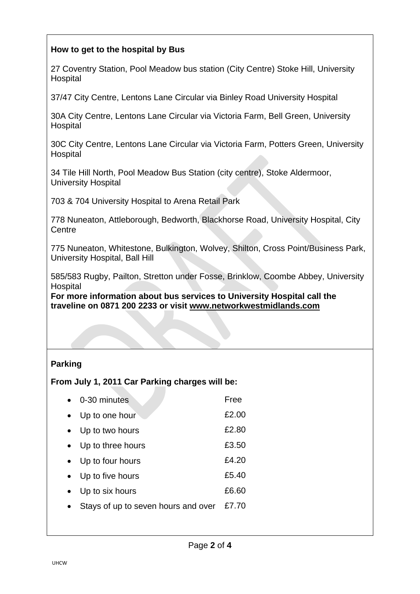## **How to get to the hospital by Bus**

27 Coventry Station, Pool Meadow bus station (City Centre) Stoke Hill, University Hospital

37/47 City Centre, Lentons Lane Circular via Binley Road University Hospital

30A City Centre, Lentons Lane Circular via Victoria Farm, Bell Green, University Hospital

30C City Centre, Lentons Lane Circular via Victoria Farm, Potters Green, University Hospital

34 Tile Hill North, Pool Meadow Bus Station (city centre), Stoke Aldermoor, University Hospital

703 & 704 University Hospital to Arena Retail Park

778 Nuneaton, Attleborough, Bedworth, Blackhorse Road, University Hospital, City **Centre** 

775 Nuneaton, Whitestone, Bulkington, Wolvey, Shilton, Cross Point/Business Park, University Hospital, Ball Hill

585/583 Rugby, Pailton, Stretton under Fosse, Brinklow, Coombe Abbey, University Hospital

**For more information about bus services to University Hospital call the traveline on 0871 200 2233 or visit [www.networkwestmidlands.com](http://www.networkwestmidlands.com/)**

## **Parking**

**From July 1, 2011 Car Parking charges will be:**

| 0-30 minutes                        | Free  |
|-------------------------------------|-------|
| Up to one hour                      | £2.00 |
| • Up to two hours                   | £2.80 |
| • Up to three hours                 | £3.50 |
| • Up to four hours                  | £4.20 |
| • Up to five hours                  | £5.40 |
| Up to six hours                     | £6.60 |
| Stays of up to seven hours and over | £7.70 |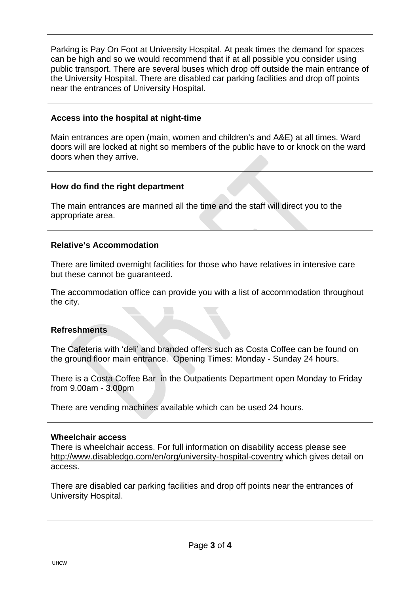Parking is Pay On Foot at University Hospital. At peak times the demand for spaces can be high and so we would recommend that if at all possible you consider using public transport. There are several buses which drop off outside the main entrance of the University Hospital. There are disabled car parking facilities and drop off points near the entrances of University Hospital.

## **Access into the hospital at night-time**

Main entrances are open (main, women and children's and A&E) at all times. Ward doors will are locked at night so members of the public have to or knock on the ward doors when they arrive.

## **How do find the right department**

The main entrances are manned all the time and the staff will direct you to the appropriate area.

## **Relative's Accommodation**

There are limited overnight facilities for those who have relatives in intensive care but these cannot be guaranteed.

The accommodation office can provide you with a list of accommodation throughout the city.

#### **Refreshments**

The Cafeteria with 'deli' and branded offers such as Costa Coffee can be found on the ground floor main entrance. Opening Times: Monday - Sunday 24 hours.

There is a Costa Coffee Bar in the Outpatients Department open Monday to Friday from 9.00am - 3.00pm

There are vending machines available which can be used 24 hours.

#### **Wheelchair access**

There is wheelchair access. For full information on disability access please see <http://www.disabledgo.com/en/org/university-hospital-coventry> which gives detail on access.

There are disabled car parking facilities and drop off points near the entrances of University Hospital.